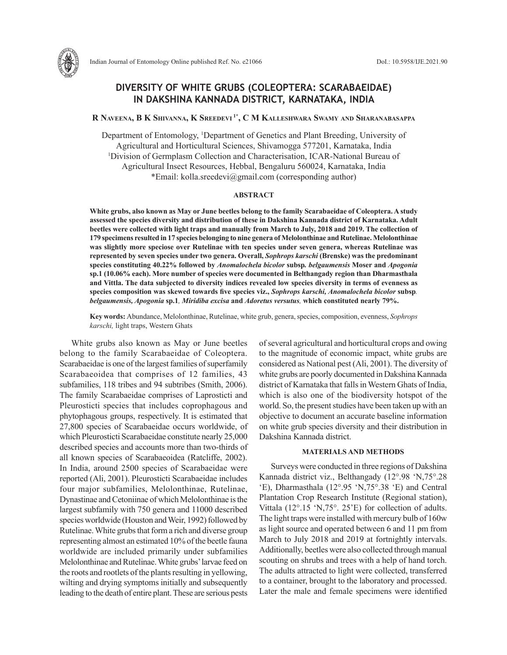

# **DIVERSITY OF WHITE GRUBS (COLEOPTERA: SCARABAEIDAE) IN DAKSHINA KANNADA DISTRICT, KARNATAKA, INDIA**

# **R Naveena, B K Shivanna, K Sreedevi 1\*, C M Kalleshwara Swamy and Sharanabasappa**

Department of Entomology, 1 Department of Genetics and Plant Breeding, University of Agricultural and Horticultural Sciences, Shivamogga 577201, Karnataka, India <sup>1</sup>Division of Germplasm Collection and Characterisation, ICAR-National Bureau of Agricultural Insect Resources, Hebbal, Bengaluru 560024, Karnataka, India \*Email: kolla.sreedevi@gmail.com (corresponding author)

## **ABSTRACT**

**White grubs, also known as May or June beetles belong to the family Scarabaeidae of Coleoptera. A study assessed the species diversity and distribution of these in Dakshina Kannada district of Karnataka. Adult beetles were collected with light traps and manually from March to July, 2018 and 2019. The collection of 179 specimens resulted in 17 species belonging to nine genera of Melolonthinae and Rutelinae. Melolonthinae was slightly more speciose over Rutelinae with ten species under seven genera, whereas Rutelinae was represented by seven species under two genera. Overall,** *Sophrops karschi* **(Brenske) was the predominant species constituting 40.22% followed by** *Anomalochela bicolor* **subsp***. belgaumensis* **Moser and** *Apogonia* **sp.1 (10.06% each). More number of species were documented in Belthangady region than Dharmasthala and Vittla. The data subjected to diversity indices revealed low species diversity in terms of evenness as species composition was skewed towards five species viz.,** *Sophrops karschi, Anomalochela bicolor* **subsp***. belgaumensis, Apogonia* **sp.1***, Miridiba excisa* **and** *Adoretus versutus,* **which constituted nearly 79%.**

**Key words:** Abundance, Melolonthinae, Rutelinae, white grub, genera, species, composition, evenness, *Sophrops karschi,* light traps, Western Ghats

White grubs also known as May or June beetles belong to the family Scarabaeidae of Coleoptera. Scarabaeidae is one of the largest families of superfamily Scarabaeoidea that comprises of 12 families, 43 subfamilies, 118 tribes and 94 subtribes (Smith, 2006). The family Scarabaeidae comprises of Laprosticti and Pleurosticti species that includes coprophagous and phytophagous groups, respectively. It is estimated that 27,800 species of Scarabaeidae occurs worldwide, of which Pleurosticti Scarabaeidae constitute nearly 25,000 described species and accounts more than two-thirds of all known species of Scarabaeoidea (Ratcliffe, 2002). In India, around 2500 species of Scarabaeidae were reported (Ali, 2001). Pleurosticti Scarabaeidae includes four major subfamilies, Melolonthinae, Rutelinae, Dynastinae and Cetoniinae of which Melolonthinae is the largest subfamily with 750 genera and 11000 described species worldwide (Houston and Weir, 1992) followed by Rutelinae. White grubs that form a rich and diverse group representing almost an estimated 10% of the beetle fauna worldwide are included primarily under subfamilies Melolonthinae and Rutelinae. White grubs' larvae feed on the roots and rootlets of the plants resulting in yellowing, wilting and drying symptoms initially and subsequently leading to the death of entire plant. These are serious pests of several agricultural and horticultural crops and owing to the magnitude of economic impact, white grubs are considered as National pest (Ali, 2001). The diversity of white grubs are poorly documented in Dakshina Kannada district of Karnataka that falls in Western Ghats of India, which is also one of the biodiversity hotspot of the world. So, the present studies have been taken up with an objective to document an accurate baseline information on white grub species diversity and their distribution in Dakshina Kannada district.

#### **MATERIALS AND METHODS**

Surveys were conducted in three regions of Dakshina Kannada district viz., Belthangady (12°.98 'N,75°.28 'E), Dharmasthala (12°.95 'N,75°.38 'E) and Central Plantation Crop Research Institute (Regional station), Vittala (12°.15 'N,75°. 25'E) for collection of adults. The light traps were installed with mercury bulb of 160w as light source and operated between 6 and 11 pm from March to July 2018 and 2019 at fortnightly intervals. Additionally, beetles were also collected through manual scouting on shrubs and trees with a help of hand torch. The adults attracted to light were collected, transferred to a container, brought to the laboratory and processed. Later the male and female specimens were identified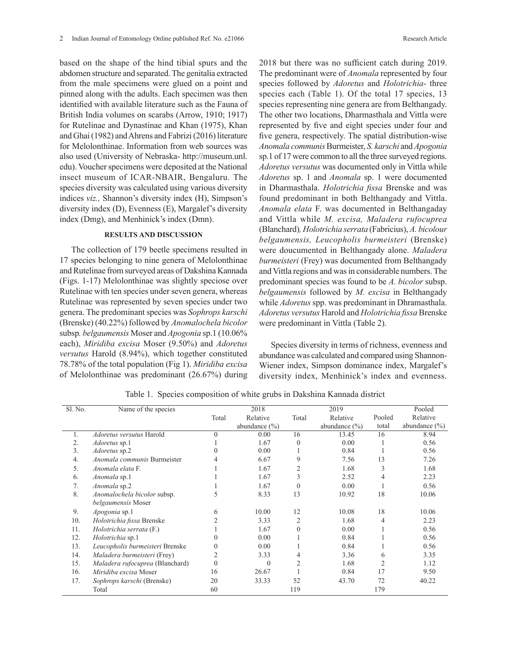based on the shape of the hind tibial spurs and the abdomen structure and separated. The genitalia extracted from the male specimens were glued on a point and pinned along with the adults. Each specimen was then identified with available literature such as the Fauna of British India volumes on scarabs (Arrow, 1910; 1917) for Rutelinae and Dynastinae and Khan (1975), Khan and Ghai (1982) and Ahrens and Fabrizi (2016) literature for Melolonthinae. Information from web sources was also used (University of Nebraska- http://museum.unl. edu). Voucher specimens were deposited at the National insect museum of ICAR-NBAIR, Bengaluru. The species diversity was calculated using various diversity indices *viz.,* Shannon's diversity index (H), Simpson's diversity index (D), Evenness (E), Margalef's diversity index (Dmg), and Menhinick's index (Dmn).

## **RESULTS AND DISCUSSION**

The collection of 179 beetle specimens resulted in 17 species belonging to nine genera of Melolonthinae and Rutelinae from surveyed areas of Dakshina Kannada (Figs. 1-17) Melolonthinae was slightly speciose over Rutelinae with ten species under seven genera, whereas Rutelinae was represented by seven species under two genera. The predominant species was *Sophrops karschi*  (Brenske) (40.22%) followed by *Anomalochela bicolor*  subsp*. belgaumensis* Moser and *Apogonia* sp.1 (10.06% each), *Miridiba excisa* Moser (9.50%) and *Adoretus versutus* Harold (8.94%), which together constituted 78.78% of the total population (Fig 1). *Miridiba excisa*  of Melolonthinae was predominant (26.67%) during

2018 but there was no sufficient catch during 2019. The predominant were of *Anomala* represented by four species followed by *Adoretus* and *Holotrichia-* three species each (Table 1). Of the total 17 species, 13 species representing nine genera are from Belthangady. The other two locations, Dharmasthala and Vittla were represented by five and eight species under four and five genera, respectively. The spatial distribution-wise *Anomala communis* Burmeister, *S. karschi* and *Apogonia*  sp.1 of 17 were common to all the three surveyed regions. *Adoretus versutus* was documented only in Vittla while *Adoretus* sp. 1 and *Anomala* sp. 1 were documented in Dharmasthala. *Holotrichia fissa* Brenske and was found predominant in both Belthangady and Vittla. *Anomala elata* F. was documented in Belthangaday and Vittla while *M. excisa, Maladera rufocuprea*  (Blanchard)*, Holotrichia serrata* (Fabricius), *A. bicolour belgaumensis, Leucopholis burmeisteri* (Brenske) were doucumented in Belthangady alone. *Maladera burmeisteri* (Frey) was documented from Belthangady and Vittla regions and was in considerable numbers. The predominant species was found to be *A. bicolor* subsp. *belgaumensis* followed by *M. excisa* in Belthangady while *Adoretus* spp. was predominant in Dhramasthala. *Adoretus versutus* Harold and *Holotrichia fissa* Brenske were predominant in Vittla (Table 2).

Species diversity in terms of richness, evenness and abundance was calculated and compared using Shannon-Wiener index, Simpson dominance index, Margalef's diversity index, Menhinick's index and evenness.

| Sl. No. | Name of the species             |          | 2018              |                | 2019              |                | Pooled            |
|---------|---------------------------------|----------|-------------------|----------------|-------------------|----------------|-------------------|
|         |                                 | Total    | Relative          | Total          | Relative          | Pooled         | Relative          |
|         |                                 |          | abundance $(\% )$ |                | abundance $(\% )$ | total          | abundance $(\% )$ |
|         | Adoretus versutus Harold        | $\Omega$ | 0.00              | 16             | 13.45             | 16             | 8.94              |
| 2.      | <i>Adoretus</i> sp.1            |          | 1.67              | $\Omega$       | 0.00              |                | 0.56              |
| 3.      | Adoretus sp.2                   |          | 0.00              |                | 0.84              |                | 0.56              |
| 4.      | Anomala communis Burmeister     |          | 6.67              | 9              | 7.56              | 13             | 7.26              |
| 5.      | Anomala elata F.                |          | 1.67              | 2              | 1.68              | 3              | 1.68              |
| 6.      | Anomala sp.1                    |          | 1.67              | 3              | 2.52              | 4              | 2.23              |
| 7.      | Anomala sp.2                    |          | 1.67              | $\Omega$       | 0.00              |                | 0.56              |
| 8.      | Anomalochela bicolor subsp.     |          | 8.33              | 13             | 10.92             | 18             | 10.06             |
|         | belgaumensis Moser              |          |                   |                |                   |                |                   |
| 9.      | Apogonia sp.1                   | 6        | 10.00             | 12             | 10.08             | 18             | 10.06             |
| 10.     | Holotrichia fissa Brenske       |          | 3.33              | $\overline{c}$ | 1.68              | 4              | 2.23              |
| 11.     | Holotrichia serrata (F.)        |          | 1.67              | $\Omega$       | 0.00              |                | 0.56              |
| 12.     | Holotrichia sp.1                |          | 0.00              |                | 0.84              |                | 0.56              |
| 13.     | Leucopholis burmeisteri Brenske | 0        | 0.00              |                | 0.84              |                | 0.56              |
| 14.     | Maladera burmeisteri (Frey)     | 2        | 3.33              |                | 3.36              | 6              | 3.35              |
| 15.     | Maladera rufocuprea (Blanchard) |          | 0                 |                | 1.68              | $\overline{c}$ | 1.12              |
| 16.     | Miridiba excisa Moser           | 16       | 26.67             |                | 0.84              | 17             | 9.50              |
| 17.     | Sophrops karschi (Brenske)      | 20       | 33.33             | 52             | 43.70             | 72             | 40.22             |
|         | Total                           | 60       |                   | 119            |                   | 179            |                   |

Table 1. Species composition of white grubs in Dakshina Kannada district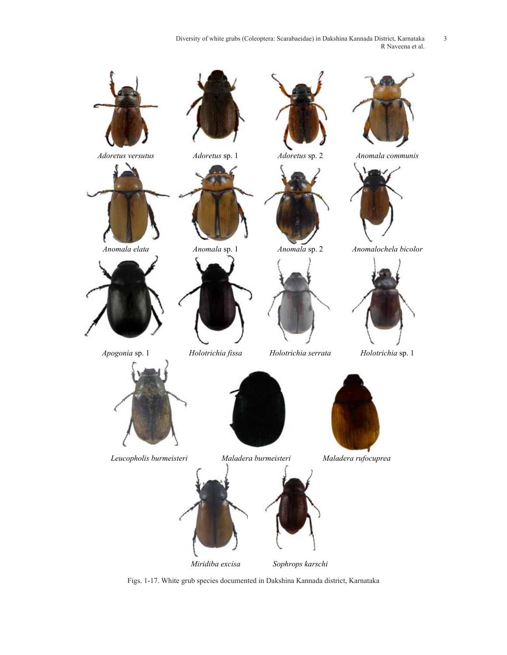Diversity of white grubs (Coleoptera: Scarabaeidae) in Dakshina Kannada District, Karnataka 3 R Naveena et al.



Figs. 1-17. White grub species documented in Dakshina Kannada district, Karnataka